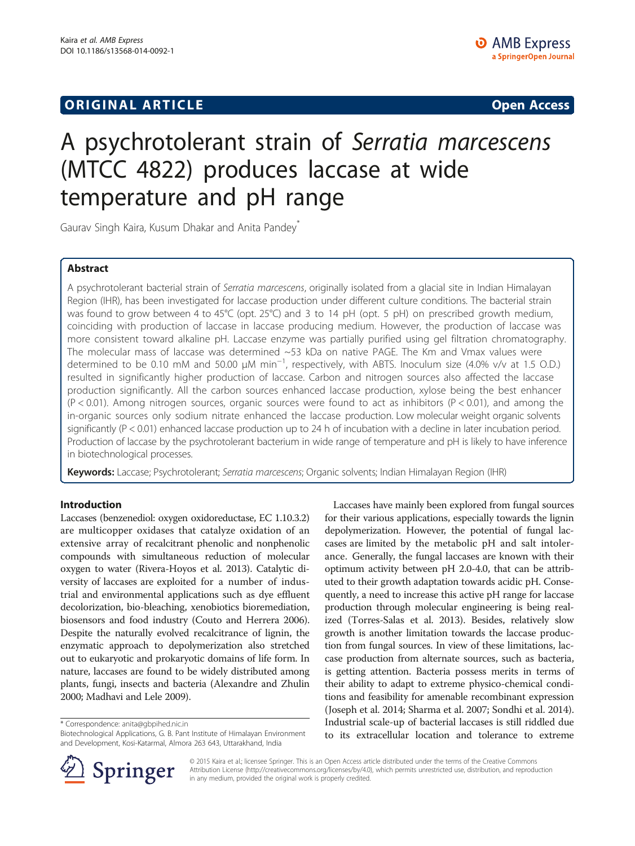# **ORIGINAL ARTICLE CONSERVANCE IN A LOCAL CONSERVANCE IN A LOCAL CONSERVANCE IN A LOCAL CONSERVANCE IN A LOCAL CONSERVANCE IN A LOCAL CONSERVANCE IN A LOCAL CONSERVANCE IN A LOCAL CONSERVANCE IN A LOCAL CONSERVANCE IN A L**

# A psychrotolerant strain of Serratia marcescens (MTCC 4822) produces laccase at wide temperature and pH range

Gaurav Singh Kaira, Kusum Dhakar and Anita Pandey<sup>®</sup>

## Abstract

A psychrotolerant bacterial strain of Serratia marcescens, originally isolated from a glacial site in Indian Himalayan Region (IHR), has been investigated for laccase production under different culture conditions. The bacterial strain was found to grow between 4 to 45°C (opt. 25°C) and 3 to 14 pH (opt. 5 pH) on prescribed growth medium, coinciding with production of laccase in laccase producing medium. However, the production of laccase was more consistent toward alkaline pH. Laccase enzyme was partially purified using gel filtration chromatography. The molecular mass of laccase was determined ~53 kDa on native PAGE. The Km and Vmax values were determined to be 0.10 mM and 50.00  $\mu$ M min<sup>-1</sup>, respectively, with ABTS. Inoculum size (4.0% v/v at 1.5 O.D.) resulted in significantly higher production of laccase. Carbon and nitrogen sources also affected the laccase production significantly. All the carbon sources enhanced laccase production, xylose being the best enhancer  $(P < 0.01)$ . Among nitrogen sources, organic sources were found to act as inhibitors  $(P < 0.01)$ , and among the in-organic sources only sodium nitrate enhanced the laccase production. Low molecular weight organic solvents significantly (P < 0.01) enhanced laccase production up to 24 h of incubation with a decline in later incubation period. Production of laccase by the psychrotolerant bacterium in wide range of temperature and pH is likely to have inference in biotechnological processes.

Keywords: Laccase; Psychrotolerant; Serratia marcescens; Organic solvents; Indian Himalayan Region (IHR)

## Introduction

Laccases (benzenediol: oxygen oxidoreductase, EC 1.10.3.2) are multicopper oxidases that catalyze oxidation of an extensive array of recalcitrant phenolic and nonphenolic compounds with simultaneous reduction of molecular oxygen to water (Rivera-Hoyos et al. [2013](#page-7-0)). Catalytic diversity of laccases are exploited for a number of industrial and environmental applications such as dye effluent decolorization, bio-bleaching, xenobiotics bioremediation, biosensors and food industry (Couto and Herrera [2006](#page-6-0)). Despite the naturally evolved recalcitrance of lignin, the enzymatic approach to depolymerization also stretched out to eukaryotic and prokaryotic domains of life form. In nature, laccases are found to be widely distributed among plants, fungi, insects and bacteria (Alexandre and Zhulin [2000;](#page-6-0) Madhavi and Lele [2009\)](#page-6-0).

\* Correspondence: [anita@gbpihed.nic.in](mailto:anita@gbpihed.nic.in)

Biotechnological Applications, G. B. Pant Institute of Himalayan Environment and Development, Kosi-Katarmal, Almora 263 643, Uttarakhand, India





© 2015 Kaira et al.; licensee Springer. This is an Open Access article distributed under the terms of the Creative Commons Attribution License [\(http://creativecommons.org/licenses/by/4.0\)](http://creativecommons.org/licenses/by/4.0), which permits unrestricted use, distribution, and reproduction in any medium, provided the original work is properly credited.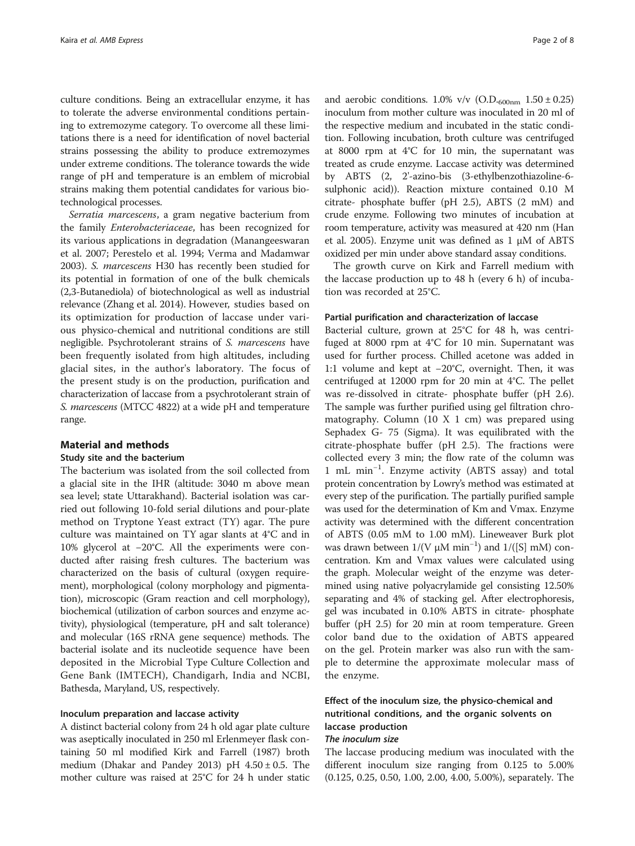culture conditions. Being an extracellular enzyme, it has to tolerate the adverse environmental conditions pertaining to extremozyme category. To overcome all these limitations there is a need for identification of novel bacterial strains possessing the ability to produce extremozymes under extreme conditions. The tolerance towards the wide range of pH and temperature is an emblem of microbial strains making them potential candidates for various biotechnological processes.

Serratia marcescens, a gram negative bacterium from the family Enterobacteriaceae, has been recognized for its various applications in degradation (Manangeeswaran et al. [2007;](#page-6-0) Perestelo et al. [1994](#page-6-0); Verma and Madamwar [2003](#page-7-0)). S. marcescens H30 has recently been studied for its potential in formation of one of the bulk chemicals (2,3-Butanediola) of biotechnological as well as industrial relevance (Zhang et al. [2014](#page-7-0)). However, studies based on its optimization for production of laccase under various physico-chemical and nutritional conditions are still negligible. Psychrotolerant strains of S. marcescens have been frequently isolated from high altitudes, including glacial sites, in the author's laboratory. The focus of the present study is on the production, purification and characterization of laccase from a psychrotolerant strain of S. marcescens (MTCC 4822) at a wide pH and temperature range.

## Material and methods

## Study site and the bacterium

The bacterium was isolated from the soil collected from a glacial site in the IHR (altitude: 3040 m above mean sea level; state Uttarakhand). Bacterial isolation was carried out following 10-fold serial dilutions and pour-plate method on Tryptone Yeast extract (TY) agar. The pure culture was maintained on TY agar slants at 4°C and in 10% glycerol at −20°C. All the experiments were conducted after raising fresh cultures. The bacterium was characterized on the basis of cultural (oxygen requirement), morphological (colony morphology and pigmentation), microscopic (Gram reaction and cell morphology), biochemical (utilization of carbon sources and enzyme activity), physiological (temperature, pH and salt tolerance) and molecular (16S rRNA gene sequence) methods. The bacterial isolate and its nucleotide sequence have been deposited in the Microbial Type Culture Collection and Gene Bank (IMTECH), Chandigarh, India and NCBI, Bathesda, Maryland, US, respectively.

#### Inoculum preparation and laccase activity

A distinct bacterial colony from 24 h old agar plate culture was aseptically inoculated in 250 ml Erlenmeyer flask containing 50 ml modified Kirk and Farrell [\(1987\)](#page-6-0) broth medium (Dhakar and Pandey [2013\)](#page-6-0) pH  $4.50 \pm 0.5$ . The mother culture was raised at 25°C for 24 h under static

and aerobic conditions.  $1.0\%$  v/v (O.D.<sub>600nm</sub>  $1.50 \pm 0.25$ ) inoculum from mother culture was inoculated in 20 ml of the respective medium and incubated in the static condition. Following incubation, broth culture was centrifuged at 8000 rpm at 4°C for 10 min, the supernatant was treated as crude enzyme. Laccase activity was determined by ABTS (2, 2'-azino-bis (3-ethylbenzothiazoline-6 sulphonic acid)). Reaction mixture contained 0.10 M citrate- phosphate buffer (pH 2.5), ABTS (2 mM) and crude enzyme. Following two minutes of incubation at room temperature, activity was measured at 420 nm (Han et al. [2005\)](#page-6-0). Enzyme unit was defined as 1 μM of ABTS oxidized per min under above standard assay conditions.

The growth curve on Kirk and Farrell medium with the laccase production up to 48 h (every 6 h) of incubation was recorded at 25°C.

#### Partial purification and characterization of laccase

Bacterial culture, grown at 25°C for 48 h, was centrifuged at 8000 rpm at 4°C for 10 min. Supernatant was used for further process. Chilled acetone was added in 1:1 volume and kept at −20°C, overnight. Then, it was centrifuged at 12000 rpm for 20 min at 4°C. The pellet was re-dissolved in citrate- phosphate buffer (pH 2.6). The sample was further purified using gel filtration chromatography. Column  $(10 \tX 1 \tcm)$  was prepared using Sephadex G- 75 (Sigma). It was equilibrated with the citrate-phosphate buffer (pH 2.5). The fractions were collected every 3 min; the flow rate of the column was 1 mL min−<sup>1</sup> . Enzyme activity (ABTS assay) and total protein concentration by Lowry's method was estimated at every step of the purification. The partially purified sample was used for the determination of Km and Vmax. Enzyme activity was determined with the different concentration of ABTS (0.05 mM to 1.00 mM). Lineweaver Burk plot was drawn between 1/(V μM min<sup>-1</sup>) and 1/([S] mM) concentration. Km and Vmax values were calculated using the graph. Molecular weight of the enzyme was determined using native polyacrylamide gel consisting 12.50% separating and 4% of stacking gel. After electrophoresis, gel was incubated in 0.10% ABTS in citrate- phosphate buffer (pH 2.5) for 20 min at room temperature. Green color band due to the oxidation of ABTS appeared on the gel. Protein marker was also run with the sample to determine the approximate molecular mass of the enzyme.

# Effect of the inoculum size, the physico-chemical and nutritional conditions, and the organic solvents on laccase production

#### The inoculum size

The laccase producing medium was inoculated with the different inoculum size ranging from 0.125 to 5.00% (0.125, 0.25, 0.50, 1.00, 2.00, 4.00, 5.00%), separately. The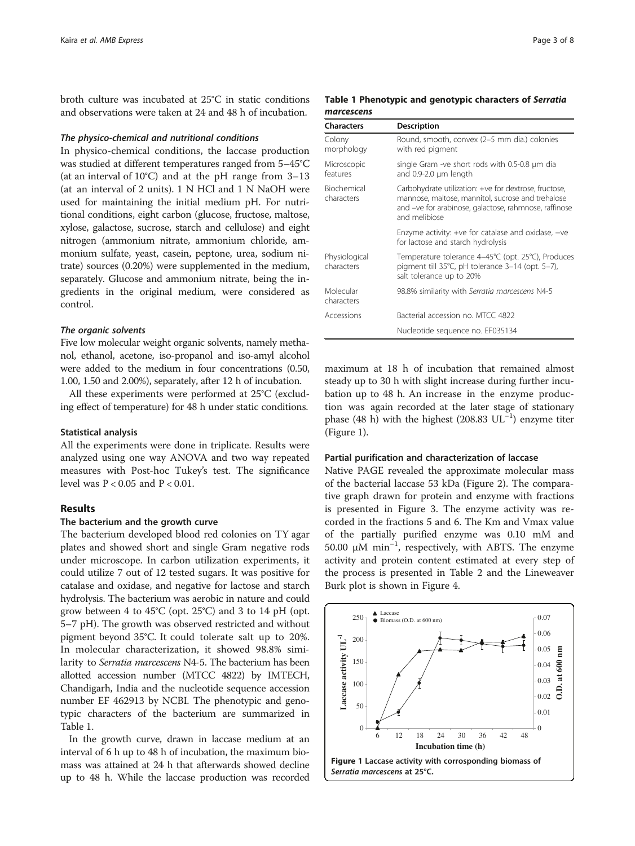broth culture was incubated at 25°C in static conditions and observations were taken at 24 and 48 h of incubation.

#### The physico-chemical and nutritional conditions

In physico-chemical conditions, the laccase production was studied at different temperatures ranged from 5–45°C (at an interval of 10°C) and at the pH range from 3–13 (at an interval of 2 units). 1 N HCl and 1 N NaOH were used for maintaining the initial medium pH. For nutritional conditions, eight carbon (glucose, fructose, maltose, xylose, galactose, sucrose, starch and cellulose) and eight nitrogen (ammonium nitrate, ammonium chloride, ammonium sulfate, yeast, casein, peptone, urea, sodium nitrate) sources (0.20%) were supplemented in the medium, separately. Glucose and ammonium nitrate, being the ingredients in the original medium, were considered as control.

#### The organic solvents

Five low molecular weight organic solvents, namely methanol, ethanol, acetone, iso-propanol and iso-amyl alcohol were added to the medium in four concentrations (0.50, 1.00, 1.50 and 2.00%), separately, after 12 h of incubation.

All these experiments were performed at 25°C (excluding effect of temperature) for 48 h under static conditions.

#### Statistical analysis

All the experiments were done in triplicate. Results were analyzed using one way ANOVA and two way repeated measures with Post-hoc Tukey's test. The significance level was P < 0.05 and P < 0.01.

## Results

## The bacterium and the growth curve

The bacterium developed blood red colonies on TY agar plates and showed short and single Gram negative rods under microscope. In carbon utilization experiments, it could utilize 7 out of 12 tested sugars. It was positive for catalase and oxidase, and negative for lactose and starch hydrolysis. The bacterium was aerobic in nature and could grow between 4 to 45°C (opt. 25°C) and 3 to 14 pH (opt. 5–7 pH). The growth was observed restricted and without pigment beyond 35°C. It could tolerate salt up to 20%. In molecular characterization, it showed 98.8% similarity to Serratia marcescens N4-5. The bacterium has been allotted accession number (MTCC 4822) by IMTECH, Chandigarh, India and the nucleotide sequence accession number EF 462913 by NCBI. The phenotypic and genotypic characters of the bacterium are summarized in Table 1.

In the growth curve, drawn in laccase medium at an interval of 6 h up to 48 h of incubation, the maximum biomass was attained at 24 h that afterwards showed decline up to 48 h. While the laccase production was recorded

## Table 1 Phenotypic and genotypic characters of Serratia marcescens

| <b>Characters</b>           | <b>Description</b>                                                                                                                                                                   |
|-----------------------------|--------------------------------------------------------------------------------------------------------------------------------------------------------------------------------------|
| Colony<br>morphology        | Round, smooth, convex (2-5 mm dia.) colonies<br>with red pigment                                                                                                                     |
| Microscopic<br>features     | single Gram -ve short rods with 0.5-0.8 µm dia<br>and $0.9-2.0 \mu m$ length                                                                                                         |
| Biochemical<br>characters   | Carbohydrate utilization: +ve for dextrose, fructose,<br>mannose, maltose, mannitol, sucrose and trehalose<br>and -ve for arabinose, galactose, rahmnose, raffinose<br>and melibiose |
|                             | Enzyme activity: +ve for catalase and oxidase, -ve<br>for lactose and starch hydrolysis                                                                                              |
| Physiological<br>characters | Temperature tolerance 4–45°C (opt. 25°C), Produces<br>pigment till 35°C, pH tolerance 3-14 (opt. 5-7),<br>salt tolerance up to 20%                                                   |
| Molecular<br>characters     | 98.8% similarity with Serratia marcescens N4-5                                                                                                                                       |
| Accessions                  | Bacterial accession no. MTCC 4822                                                                                                                                                    |
|                             | Nucleotide sequence no. EF035134                                                                                                                                                     |

maximum at 18 h of incubation that remained almost steady up to 30 h with slight increase during further incubation up to 48 h. An increase in the enzyme production was again recorded at the later stage of stationary phase (48 h) with the highest (208.83  $UL^{-1}$ ) enzyme titer (Figure 1).

## Partial purification and characterization of laccase

Native PAGE revealed the approximate molecular mass of the bacterial laccase 53 kDa (Figure [2\)](#page-3-0). The comparative graph drawn for protein and enzyme with fractions is presented in Figure [3.](#page-3-0) The enzyme activity was recorded in the fractions 5 and 6. The Km and Vmax value of the partially purified enzyme was 0.10 mM and 50.00 μM min−<sup>1</sup> , respectively, with ABTS. The enzyme activity and protein content estimated at every step of the process is presented in Table [2](#page-3-0) and the Lineweaver Burk plot is shown in Figure [4.](#page-3-0)

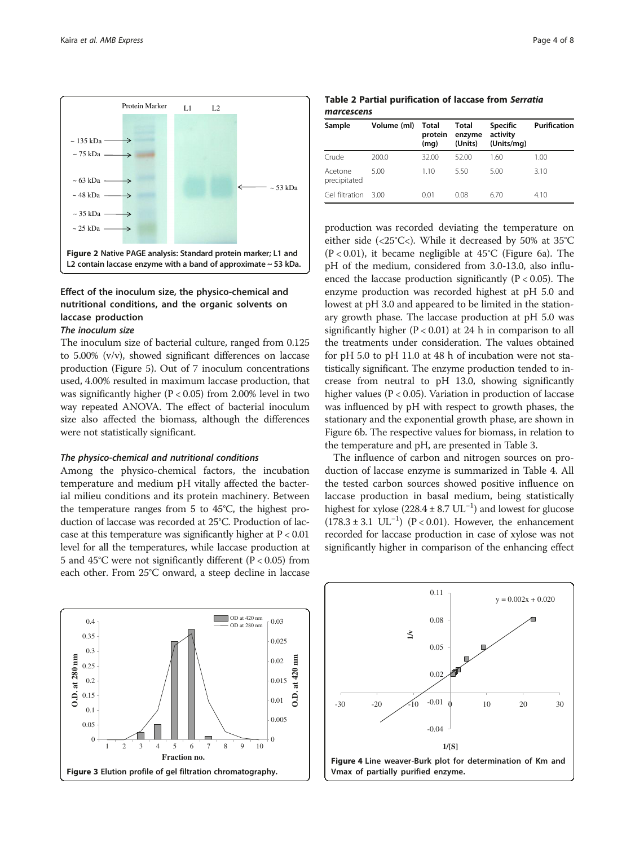

# Effect of the inoculum size, the physico-chemical and nutritional conditions, and the organic solvents on laccase production

#### The inoculum size

The inoculum size of bacterial culture, ranged from 0.125 to 5.00% (v/v), showed significant differences on laccase production (Figure [5](#page-4-0)). Out of 7 inoculum concentrations used, 4.00% resulted in maximum laccase production, that was significantly higher ( $P < 0.05$ ) from 2.00% level in two way repeated ANOVA. The effect of bacterial inoculum size also affected the biomass, although the differences were not statistically significant.

#### The physico-chemical and nutritional conditions

Among the physico-chemical factors, the incubation temperature and medium pH vitally affected the bacterial milieu conditions and its protein machinery. Between the temperature ranges from 5 to 45°C, the highest production of laccase was recorded at 25°C. Production of laccase at this temperature was significantly higher at P < 0.01 level for all the temperatures, while laccase production at 5 and 45 $\degree$ C were not significantly different (P < 0.05) from each other. From 25°C onward, a steep decline in laccase

<span id="page-3-0"></span>

| Table 2 Partial purification of laccase from Serratia |  |
|-------------------------------------------------------|--|
| marcescens                                            |  |

| Sample                  | Volume (ml) | Total<br>protein<br>(mq) | Total<br>enzyme<br>(Units) | <b>Specific</b><br>activity<br>(Units/mg) | <b>Purification</b> |
|-------------------------|-------------|--------------------------|----------------------------|-------------------------------------------|---------------------|
| Crude                   | 200.0       | 32.00                    | 52.00                      | 1.60                                      | 1.00                |
| Acetone<br>precipitated | 5.00        | 1.10                     | 5.50                       | 5.00                                      | 3.10                |
| Gel filtration          | 3.00        | 0.01                     | 0.08                       | 6.70                                      | 4.10                |

production was recorded deviating the temperature on either side (<25°C<). While it decreased by 50% at 35°C  $(P < 0.01)$ , it became negligible at 45°C (Figure [6a](#page-4-0)). The pH of the medium, considered from 3.0-13.0, also influenced the laccase production significantly  $(P < 0.05)$ . The enzyme production was recorded highest at pH 5.0 and lowest at pH 3.0 and appeared to be limited in the stationary growth phase. The laccase production at pH 5.0 was significantly higher  $(P < 0.01)$  at 24 h in comparison to all the treatments under consideration. The values obtained for pH 5.0 to pH 11.0 at 48 h of incubation were not statistically significant. The enzyme production tended to increase from neutral to pH 13.0, showing significantly higher values ( $P < 0.05$ ). Variation in production of laccase was influenced by pH with respect to growth phases, the stationary and the exponential growth phase, are shown in Figure [6](#page-4-0)b. The respective values for biomass, in relation to the temperature and pH, are presented in Table [3](#page-5-0).

The influence of carbon and nitrogen sources on production of laccase enzyme is summarized in Table [4](#page-5-0). All the tested carbon sources showed positive influence on laccase production in basal medium, being statistically highest for xylose  $(228.4 \pm 8.7 \text{ UL}^{-1})$  and lowest for glucose  $(178.3 ± 3.1 \text{ UL}^{-1})$  (P < 0.01). However, the enhancement recorded for laccase production in case of xylose was not significantly higher in comparison of the enhancing effect



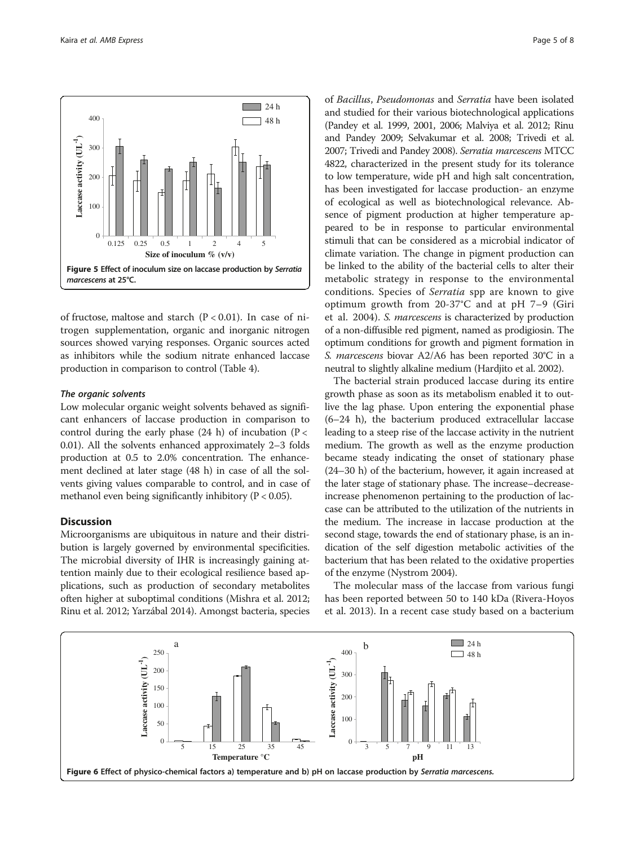<span id="page-4-0"></span>

**Size of inoculum % (v/v)** Figure 5 Effect of inoculum size on laccase production by Serratia marcescens at 25°C.

of fructose, maltose and starch  $(P < 0.01)$ . In case of nitrogen supplementation, organic and inorganic nitrogen sources showed varying responses. Organic sources acted as inhibitors while the sodium nitrate enhanced laccase production in comparison to control (Table [4](#page-5-0)).

#### The organic solvents

Low molecular organic weight solvents behaved as significant enhancers of laccase production in comparison to control during the early phase (24 h) of incubation ( $P <$ 0.01). All the solvents enhanced approximately 2–3 folds production at 0.5 to 2.0% concentration. The enhancement declined at later stage (48 h) in case of all the solvents giving values comparable to control, and in case of methanol even being significantly inhibitory ( $P < 0.05$ ).

## **Discussion**

Microorganisms are ubiquitous in nature and their distribution is largely governed by environmental specificities. The microbial diversity of IHR is increasingly gaining attention mainly due to their ecological resilience based applications, such as production of secondary metabolites often higher at suboptimal conditions (Mishra et al. [2012](#page-6-0); Rinu et al. [2012](#page-6-0); Yarzábal [2014](#page-7-0)). Amongst bacteria, species of Bacillus, Pseudomonas and Serratia have been isolated and studied for their various biotechnological applications (Pandey et al. [1999, 2001, 2006](#page-6-0); Malviya et al. [2012;](#page-6-0) Rinu and Pandey [2009](#page-6-0); Selvakumar et al. [2008;](#page-7-0) Trivedi et al. [2007](#page-7-0); Trivedi and Pandey [2008](#page-7-0)). Serratia marcescens MTCC 4822, characterized in the present study for its tolerance to low temperature, wide pH and high salt concentration, has been investigated for laccase production- an enzyme of ecological as well as biotechnological relevance. Absence of pigment production at higher temperature appeared to be in response to particular environmental stimuli that can be considered as a microbial indicator of climate variation. The change in pigment production can be linked to the ability of the bacterial cells to alter their metabolic strategy in response to the environmental conditions. Species of Serratia spp are known to give optimum growth from 20-37°C and at pH 7–9 (Giri et al. [2004](#page-6-0)). S. marcescens is characterized by production of a non-diffusible red pigment, named as prodigiosin. The optimum conditions for growth and pigment formation in S. *marcescens* biovar A2/A6 has been reported 30°C in a neutral to slightly alkaline medium (Hardjito et al. [2002\)](#page-6-0).

The bacterial strain produced laccase during its entire growth phase as soon as its metabolism enabled it to outlive the lag phase. Upon entering the exponential phase (6–24 h), the bacterium produced extracellular laccase leading to a steep rise of the laccase activity in the nutrient medium. The growth as well as the enzyme production became steady indicating the onset of stationary phase (24–30 h) of the bacterium, however, it again increased at the later stage of stationary phase. The increase–decreaseincrease phenomenon pertaining to the production of laccase can be attributed to the utilization of the nutrients in the medium. The increase in laccase production at the second stage, towards the end of stationary phase, is an indication of the self digestion metabolic activities of the bacterium that has been related to the oxidative properties of the enzyme (Nystrom [2004\)](#page-6-0).

The molecular mass of the laccase from various fungi has been reported between 50 to 140 kDa (Rivera-Hoyos et al. [2013](#page-7-0)). In a recent case study based on a bacterium

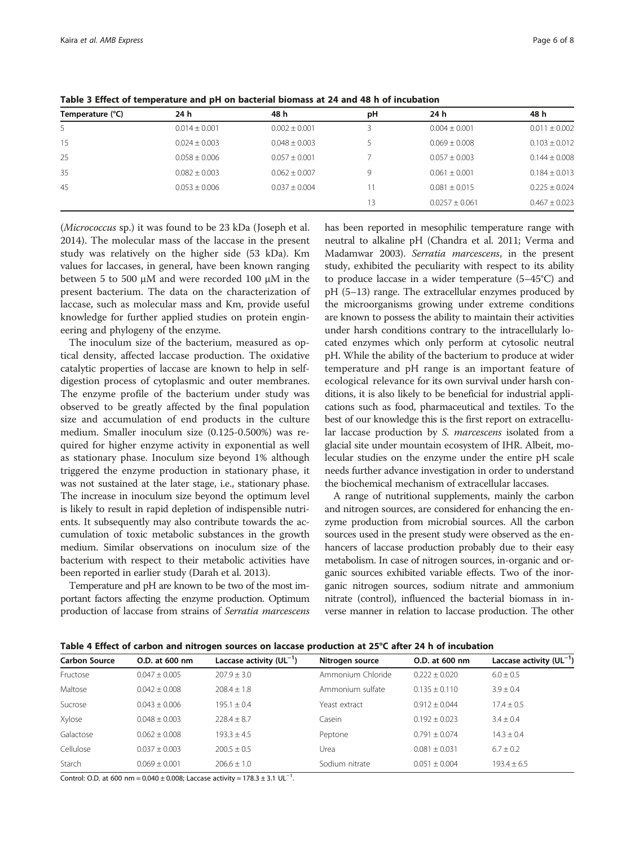| Temperature (°C) | 24 h              | 48 h              | рH | 24 h               | 48 h              |
|------------------|-------------------|-------------------|----|--------------------|-------------------|
| 5                | $0.014 \pm 0.001$ | $0.002 \pm 0.001$ |    | $0.004 \pm 0.001$  | $0.011 \pm 0.002$ |
| 15               | $0.024 \pm 0.003$ | $0.048 \pm 0.003$ |    | $0.069 + 0.008$    | $0.103 \pm 0.012$ |
| 25               | $0.058 + 0.006$   | $0.057 + 0.001$   |    | $0.057 + 0.003$    | $0.144 \pm 0.008$ |
| 35               | $0.082 + 0.003$   | $0.062 + 0.007$   | 9  | $0.061 + 0.001$    | $0.184 \pm 0.013$ |
| 45               | $0.053 + 0.006$   | $0.037 + 0.004$   |    | $0.081 + 0.015$    | $0.225 + 0.024$   |
|                  |                   |                   | 13 | $0.0257 \pm 0.061$ | $0.467 \pm 0.023$ |

<span id="page-5-0"></span>Table 3 Effect of temperature and pH on bacterial biomass at 24 and 48 h of incubation

(Micrococcus sp.) it was found to be 23 kDa (Joseph et al. [2014](#page-6-0)). The molecular mass of the laccase in the present study was relatively on the higher side (53 kDa). Km values for laccases, in general, have been known ranging between 5 to 500 μM and were recorded 100 μM in the present bacterium. The data on the characterization of laccase, such as molecular mass and Km, provide useful knowledge for further applied studies on protein engineering and phylogeny of the enzyme.

The inoculum size of the bacterium, measured as optical density, affected laccase production. The oxidative catalytic properties of laccase are known to help in selfdigestion process of cytoplasmic and outer membranes. The enzyme profile of the bacterium under study was observed to be greatly affected by the final population size and accumulation of end products in the culture medium. Smaller inoculum size (0.125-0.500%) was required for higher enzyme activity in exponential as well as stationary phase. Inoculum size beyond 1% although triggered the enzyme production in stationary phase, it was not sustained at the later stage, i.e., stationary phase. The increase in inoculum size beyond the optimum level is likely to result in rapid depletion of indispensible nutrients. It subsequently may also contribute towards the accumulation of toxic metabolic substances in the growth medium. Similar observations on inoculum size of the bacterium with respect to their metabolic activities have been reported in earlier study (Darah et al. [2013](#page-6-0)).

Temperature and pH are known to be two of the most important factors affecting the enzyme production. Optimum production of laccase from strains of Serratia marcescens has been reported in mesophilic temperature range with neutral to alkaline pH (Chandra et al. [2011](#page-6-0); Verma and Madamwar [2003](#page-7-0)). Serratia marcescens, in the present study, exhibited the peculiarity with respect to its ability to produce laccase in a wider temperature (5–45°C) and pH (5–13) range. The extracellular enzymes produced by the microorganisms growing under extreme conditions are known to possess the ability to maintain their activities under harsh conditions contrary to the intracellularly located enzymes which only perform at cytosolic neutral pH. While the ability of the bacterium to produce at wider temperature and pH range is an important feature of ecological relevance for its own survival under harsh conditions, it is also likely to be beneficial for industrial applications such as food, pharmaceutical and textiles. To the best of our knowledge this is the first report on extracellular laccase production by S. marcescens isolated from a glacial site under mountain ecosystem of IHR. Albeit, molecular studies on the enzyme under the entire pH scale needs further advance investigation in order to understand the biochemical mechanism of extracellular laccases.

A range of nutritional supplements, mainly the carbon and nitrogen sources, are considered for enhancing the enzyme production from microbial sources. All the carbon sources used in the present study were observed as the enhancers of laccase production probably due to their easy metabolism. In case of nitrogen sources, in-organic and organic sources exhibited variable effects. Two of the inorganic nitrogen sources, sodium nitrate and ammonium nitrate (control), influenced the bacterial biomass in inverse manner in relation to laccase production. The other

|  | Table 4 Effect of carbon and nitrogen sources on laccase production at 25°C after 24 h of incubation |
|--|------------------------------------------------------------------------------------------------------|
|--|------------------------------------------------------------------------------------------------------|

| <b>Carbon Source</b> | O.D. at 600 nm    | Laccase activity $(UL^{-1})$ | Nitrogen source   | O.D. at 600 nm    | Laccase activity $(UL^{-1})$ |
|----------------------|-------------------|------------------------------|-------------------|-------------------|------------------------------|
| Fructose             | $0.047 \pm 0.005$ | $207.9 \pm 3.0$              | Ammonium Chloride | $0.222 \pm 0.020$ | $6.0 \pm 0.5$                |
| Maltose              | $0.042 \pm 0.008$ | $208.4 \pm 1.8$              | Ammonium sulfate  | $0.135 \pm 0.110$ | $3.9 \pm 0.4$                |
| Sucrose              | $0.043 \pm 0.006$ | $195.1 \pm 0.4$              | Yeast extract     | $0.912 \pm 0.044$ | $17.4 \pm 0.5$               |
| Xylose               | $0.048 \pm 0.003$ | $228.4 \pm 8.7$              | Casein            | $0.192 \pm 0.023$ | $3.4 \pm 0.4$                |
| Galactose            | $0.062 \pm 0.008$ | $193.3 \pm 4.5$              | Peptone           | $0.791 \pm 0.074$ | $14.3 \pm 0.4$               |
| Cellulose            | $0.037 \pm 0.003$ | $200.5 \pm 0.5$              | Urea              | $0.081 \pm 0.031$ | $6.7 \pm 0.2$                |
| Starch               | $0.069 \pm 0.001$ | $206.6 \pm 1.0$              | Sodium nitrate    | $0.051 \pm 0.004$ | $193.4 \pm 6.5$              |

Control: O.D. at 600 nm =  $0.040 \pm 0.008$ ; Laccase activity =  $178.3 \pm 3.1$  UL<sup>-1</sup>. .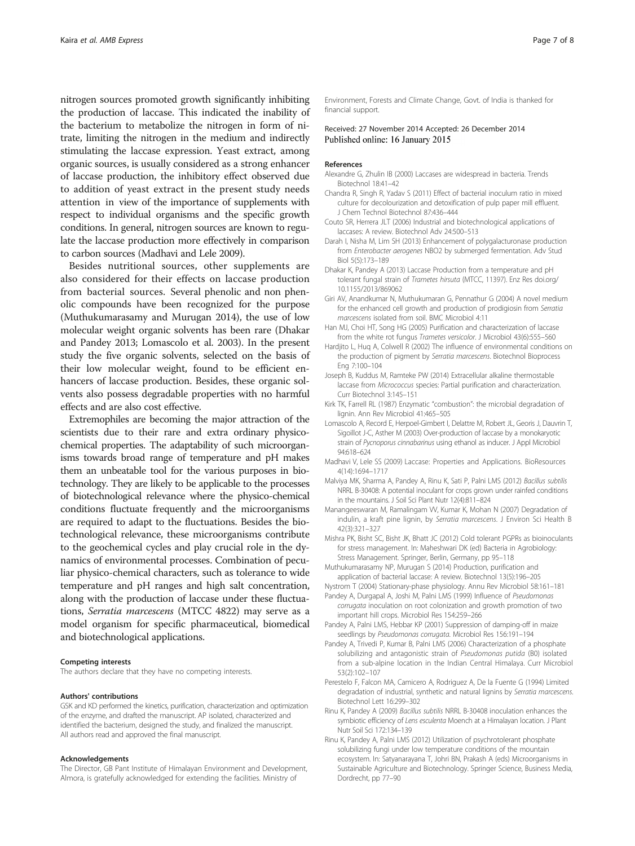<span id="page-6-0"></span>nitrogen sources promoted growth significantly inhibiting the production of laccase. This indicated the inability of the bacterium to metabolize the nitrogen in form of nitrate, limiting the nitrogen in the medium and indirectly stimulating the laccase expression. Yeast extract, among organic sources, is usually considered as a strong enhancer of laccase production, the inhibitory effect observed due to addition of yeast extract in the present study needs attention in view of the importance of supplements with respect to individual organisms and the specific growth conditions. In general, nitrogen sources are known to regulate the laccase production more effectively in comparison to carbon sources (Madhavi and Lele 2009).

Besides nutritional sources, other supplements are also considered for their effects on laccase production from bacterial sources. Several phenolic and non phenolic compounds have been recognized for the purpose (Muthukumarasamy and Murugan 2014), the use of low molecular weight organic solvents has been rare (Dhakar and Pandey 2013; Lomascolo et al. 2003). In the present study the five organic solvents, selected on the basis of their low molecular weight, found to be efficient enhancers of laccase production. Besides, these organic solvents also possess degradable properties with no harmful effects and are also cost effective.

Extremophiles are becoming the major attraction of the scientists due to their rare and extra ordinary physicochemical properties. The adaptability of such microorganisms towards broad range of temperature and pH makes them an unbeatable tool for the various purposes in biotechnology. They are likely to be applicable to the processes of biotechnological relevance where the physico-chemical conditions fluctuate frequently and the microorganisms are required to adapt to the fluctuations. Besides the biotechnological relevance, these microorganisms contribute to the geochemical cycles and play crucial role in the dynamics of environmental processes. Combination of peculiar physico-chemical characters, such as tolerance to wide temperature and pH ranges and high salt concentration, along with the production of laccase under these fluctuations, Serratia marcescens (MTCC 4822) may serve as a model organism for specific pharmaceutical, biomedical and biotechnological applications.

#### Competing interests

The authors declare that they have no competing interests.

#### Authors' contributions

GSK and KD performed the kinetics, purification, characterization and optimization of the enzyme, and drafted the manuscript. AP isolated, characterized and identified the bacterium, designed the study, and finalized the manuscript. All authors read and approved the final manuscript.

#### Acknowledgements

The Director, GB Pant Institute of Himalayan Environment and Development, Almora, is gratefully acknowledged for extending the facilities. Ministry of

Environment, Forests and Climate Change, Govt. of India is thanked for financial support.

#### Received: 27 November 2014 Accepted: 26 December 2014 Published online: 16 January 2015

#### References

- Alexandre G, Zhulin IB (2000) Laccases are widespread in bacteria. Trends Biotechnol 18:41–42
- Chandra R, Singh R, Yadav S (2011) Effect of bacterial inoculum ratio in mixed culture for decolourization and detoxification of pulp paper mill effluent. J Chem Technol Biotechnol 87:436–444
- Couto SR, Herrera JLT (2006) Industrial and biotechnological applications of laccases: A review. Biotechnol Adv 24:500–513
- Darah I, Nisha M, Lim SH (2013) Enhancement of polygalacturonase production from Enterobacter aerogenes NBO2 by submerged fermentation. Adv Stud Biol 5(5):173–189
- Dhakar K, Pandey A (2013) Laccase Production from a temperature and pH tolerant fungal strain of Trametes hirsuta (MTCC, 11397). Enz Res doi.org/ 10.1155/2013/869062
- Giri AV, Anandkumar N, Muthukumaran G, Pennathur G (2004) A novel medium for the enhanced cell growth and production of prodigiosin from Serratia marcescens isolated from soil. BMC Microbiol 4:11
- Han MJ, Choi HT, Song HG (2005) Purification and characterization of laccase from the white rot fungus Trametes versicolor. J Microbiol 43(6):555–560
- Hardjito L, Huq A, Colwell R (2002) The influence of environmental conditions on the production of pigment by Serratia marcescens. Biotechnol Bioprocess Eng 7:100–104
- Joseph B, Kuddus M, Ramteke PW (2014) Extracellular alkaline thermostable laccase from Micrococcus species: Partial purification and characterization. Curr Biotechnol 3:145–151
- Kirk TK, Farrell RL (1987) Enzymatic "combustion": the microbial degradation of lignin. Ann Rev Microbiol 41:465–505
- Lomascolo A, Record E, Herpoel-Gimbert I, Delattre M, Robert JL, Georis J, Dauvrin T, Sigoillot J-C, Asther M (2003) Over-production of laccase by a monokaryotic strain of Pycnoporus cinnabarinus using ethanol as inducer. J Appl Microbiol 94:618–624
- Madhavi V, Lele SS (2009) Laccase: Properties and Applications. BioResources 4(14):1694–1717
- Malviya MK, Sharma A, Pandey A, Rinu K, Sati P, Palni LMS (2012) Bacillus subtilis NRRL B-30408: A potential inoculant for crops grown under rainfed conditions in the mountains. J Soil Sci Plant Nutr 12(4):811–824
- Manangeeswaran M, Ramalingam VV, Kumar K, Mohan N (2007) Degradation of indulin, a kraft pine lignin, by Serratia marcescens. J Environ Sci Health B 42(3):321–327
- Mishra PK, Bisht SC, Bisht JK, Bhatt JC (2012) Cold tolerant PGPRs as bioinoculants for stress management. In: Maheshwari DK (ed) Bacteria in Agrobiology: Stress Management. Springer, Berlin, Germany, pp 95–118
- Muthukumarasamy NP, Murugan S (2014) Production, purification and application of bacterial laccase: A review. Biotechnol 13(5):196–205
- Nystrom T (2004) Stationary-phase physiology. Annu Rev Microbiol 58:161–181 Pandey A, Durgapal A, Joshi M, Palni LMS (1999) Influence of Pseudomonas
- corrugata inoculation on root colonization and growth promotion of two important hill crops. Microbiol Res 154:259–266
- Pandey A, Palni LMS, Hebbar KP (2001) Suppression of damping-off in maize seedlings by Pseudomonas corrugata. Microbiol Res 156:191–194
- Pandey A, Trivedi P, Kumar B, Palni LMS (2006) Characterization of a phosphate solubilizing and antagonistic strain of Pseudomonas putida (B0) isolated from a sub-alpine location in the Indian Central Himalaya. Curr Microbiol 53(2):102–107
- Perestelo F, Falcon MA, Camicero A, Rodriguez A, De la Fuente G (1994) Limited degradation of industrial, synthetic and natural lignins by Serratia marcescens. Biotechnol Lett 16:299–302
- Rinu K, Pandey A (2009) Bacillus subtilis NRRL B-30408 inoculation enhances the symbiotic efficiency of Lens esculenta Moench at a Himalayan location. J Plant Nutr Soil Sci 172:134–139
- Rinu K, Pandey A, Palni LMS (2012) Utilization of psychrotolerant phosphate solubilizing fungi under low temperature conditions of the mountain ecosystem. In: Satyanarayana T, Johri BN, Prakash A (eds) Microorganisms in Sustainable Agriculture and Biotechnology. Springer Science, Business Media, Dordrecht, pp 77–90